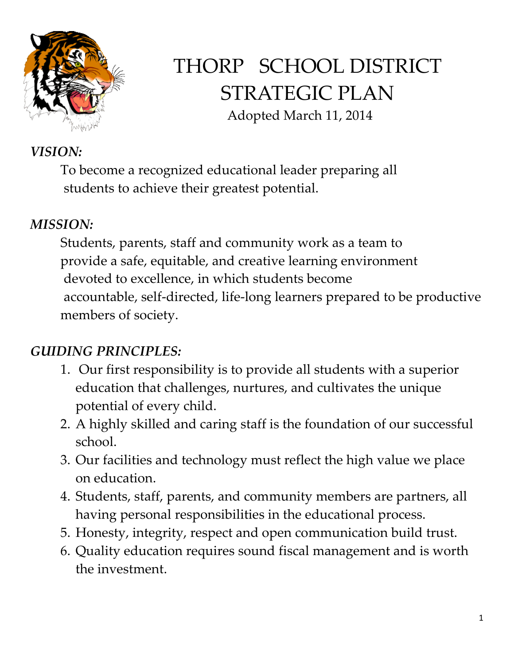

# THORP SCHOOL DISTRICT STRATEGIC PLAN Adopted March 11, 2014

## *VISION:*

To become a recognized educational leader preparing all students to achieve their greatest potential.

#### *MISSION:*

Students, parents, staff and community work as a team to provide a safe, equitable, and creative learning environment devoted to excellence, in which students become accountable, self-directed, life-long learners prepared to be productive members of society.

## *GUIDING PRINCIPLES:*

- 1. Our first responsibility is to provide all students with a superior education that challenges, nurtures, and cultivates the unique potential of every child.
- 2. A highly skilled and caring staff is the foundation of our successful school.
- 3. Our facilities and technology must reflect the high value we place on education.
- 4. Students, staff, parents, and community members are partners, all having personal responsibilities in the educational process.
- 5. Honesty, integrity, respect and open communication build trust.
- 6. Quality education requires sound fiscal management and is worth the investment.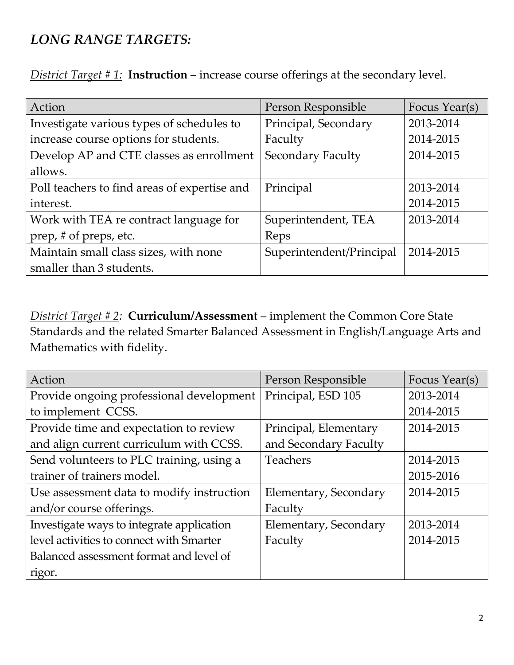## *LONG RANGE TARGETS:*

*District Target # 1:* **Instruction** – increase course offerings at the secondary level.

| Action                                       | Person Responsible       | Focus Year(s) |
|----------------------------------------------|--------------------------|---------------|
| Investigate various types of schedules to    | Principal, Secondary     | 2013-2014     |
| increase course options for students.        | Faculty                  | 2014-2015     |
| Develop AP and CTE classes as enrollment     | <b>Secondary Faculty</b> | 2014-2015     |
| allows.                                      |                          |               |
| Poll teachers to find areas of expertise and | Principal                | 2013-2014     |
| interest.                                    |                          | 2014-2015     |
| Work with TEA re contract language for       | Superintendent, TEA      | 2013-2014     |
| prep, # of preps, etc.                       | Reps                     |               |
| Maintain small class sizes, with none        | Superintendent/Principal | 2014-2015     |
| smaller than 3 students.                     |                          |               |

*District Target # 2:* **Curriculum/Assessment** – implement the Common Core State Standards and the related Smarter Balanced Assessment in English/Language Arts and Mathematics with fidelity.

| Action                                    | Person Responsible    | Focus Year(s) |
|-------------------------------------------|-----------------------|---------------|
| Provide ongoing professional development  | Principal, ESD 105    | 2013-2014     |
| to implement CCSS.                        |                       | 2014-2015     |
| Provide time and expectation to review    | Principal, Elementary | 2014-2015     |
| and align current curriculum with CCSS.   | and Secondary Faculty |               |
| Send volunteers to PLC training, using a  | <b>Teachers</b>       | 2014-2015     |
| trainer of trainers model.                |                       | 2015-2016     |
| Use assessment data to modify instruction | Elementary, Secondary | 2014-2015     |
| and/or course offerings.                  | Faculty               |               |
| Investigate ways to integrate application | Elementary, Secondary | 2013-2014     |
| level activities to connect with Smarter  | Faculty               | 2014-2015     |
| Balanced assessment format and level of   |                       |               |
| rigor.                                    |                       |               |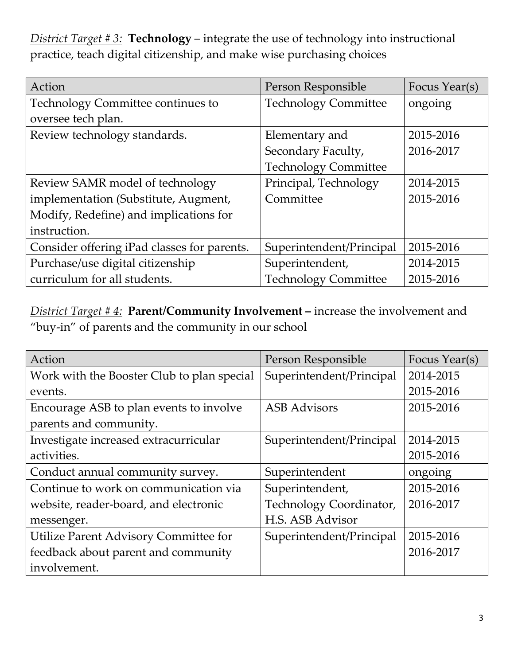*District Target # 3:* **Technology** – integrate the use of technology into instructional practice, teach digital citizenship, and make wise purchasing choices

| Action                                      | Person Responsible          | Focus Year(s) |
|---------------------------------------------|-----------------------------|---------------|
| Technology Committee continues to           | <b>Technology Committee</b> | ongoing       |
| oversee tech plan.                          |                             |               |
| Review technology standards.                | Elementary and              | 2015-2016     |
|                                             | Secondary Faculty,          | 2016-2017     |
|                                             | <b>Technology Committee</b> |               |
| Review SAMR model of technology             | Principal, Technology       | 2014-2015     |
| implementation (Substitute, Augment,        | Committee                   | 2015-2016     |
| Modify, Redefine) and implications for      |                             |               |
| instruction.                                |                             |               |
| Consider offering iPad classes for parents. | Superintendent/Principal    | 2015-2016     |
| Purchase/use digital citizenship            | Superintendent,             | 2014-2015     |
| curriculum for all students.                | <b>Technology Committee</b> | 2015-2016     |

*District Target # 4:* **Parent/Community Involvement –** increase the involvement and "buy-in" of parents and the community in our school

| Action                                     | Person Responsible       | Focus Year(s) |
|--------------------------------------------|--------------------------|---------------|
| Work with the Booster Club to plan special | Superintendent/Principal | 2014-2015     |
| events.                                    |                          | 2015-2016     |
| Encourage ASB to plan events to involve    | <b>ASB</b> Advisors      | 2015-2016     |
| parents and community.                     |                          |               |
| Investigate increased extracurricular      | Superintendent/Principal | 2014-2015     |
| activities.                                |                          | 2015-2016     |
| Conduct annual community survey.           | Superintendent           | ongoing       |
| Continue to work on communication via      | Superintendent,          | 2015-2016     |
| website, reader-board, and electronic      | Technology Coordinator,  | 2016-2017     |
| messenger.                                 | H.S. ASB Advisor         |               |
| Utilize Parent Advisory Committee for      | Superintendent/Principal | 2015-2016     |
| feedback about parent and community        |                          | 2016-2017     |
| involvement.                               |                          |               |